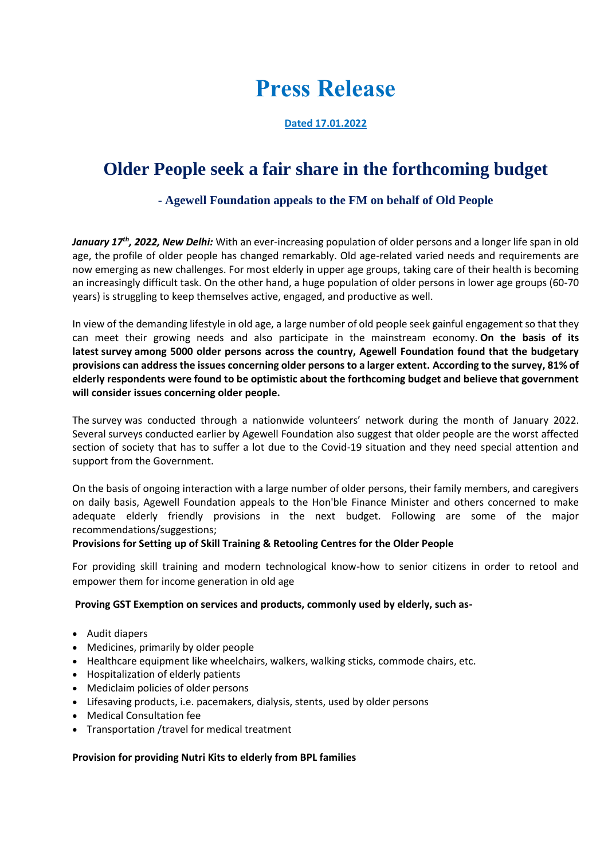# **Press Release**

### **Dated 17.01.2022**

# **Older People seek a fair share in the forthcoming budget**

## **- Agewell Foundation appeals to the FM on behalf of Old People**

*January 17th, 2022, New Delhi:* With an ever-increasing population of older persons and a longer life span in old age, the profile of older people has changed remarkably. Old age-related varied needs and requirements are now emerging as new challenges. For most elderly in upper age groups, taking care of their health is becoming an increasingly difficult task. On the other hand, a huge population of older persons in lower age groups (60-70 years) is struggling to keep themselves active, engaged, and productive as well.

In view of the demanding lifestyle in old age, a large number of old people seek gainful engagement so that they can meet their growing needs and also participate in the mainstream economy. **On the basis of its latest survey among 5000 older persons across the country, Agewell Foundation found that the budgetary provisions can address the issues concerning older persons to a larger extent. According to the survey, 81% of elderly respondents were found to be optimistic about the forthcoming budget and believe that government will consider issues concerning older people.**

The survey was conducted through a nationwide volunteers' network during the month of January 2022. Several surveys conducted earlier by Agewell Foundation also suggest that older people are the worst affected section of society that has to suffer a lot due to the Covid-19 situation and they need special attention and support from the Government.

On the basis of ongoing interaction with a large number of older persons, their family members, and caregivers on daily basis, Agewell Foundation appeals to the Hon'ble Finance Minister and others concerned to make adequate elderly friendly provisions in the next budget. Following are some of the major recommendations/suggestions;

#### **Provisions for Setting up of Skill Training & Retooling Centres for the Older People**

For providing skill training and modern technological know-how to senior citizens in order to retool and empower them for income generation in old age

#### **Proving GST Exemption on services and products, commonly used by elderly, such as-**

- Audit diapers
- Medicines, primarily by older people
- Healthcare equipment like wheelchairs, walkers, walking sticks, commode chairs, etc.
- Hospitalization of elderly patients
- Mediclaim policies of older persons
- Lifesaving products, i.e. pacemakers, dialysis, stents, used by older persons
- Medical Consultation fee
- Transportation /travel for medical treatment

#### **Provision for providing Nutri Kits to elderly from BPL families**